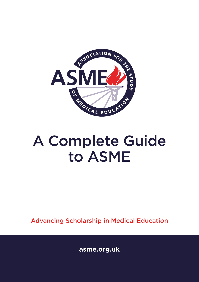

# A Complete Guide to ASME

Advancing Scholarship in Medical Education

**asme.org.uk**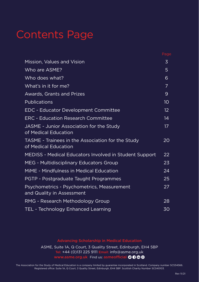# Contents Page

|                                                                           | Page              |
|---------------------------------------------------------------------------|-------------------|
| Mission, Values and Vision                                                | 3                 |
| Who are ASME?                                                             | 5                 |
| Who does what?                                                            | 6                 |
| What's in it for me?                                                      | 7                 |
| Awards, Grants and Prizes                                                 | 9                 |
| Publications                                                              | 10                |
| EDC - Educator Development Committee                                      | $12 \overline{ }$ |
| <b>ERC - Education Research Committee</b>                                 | 14                |
| JASME - Junior Association for the Study<br>of Medical Education          | 17                |
| TASME - Trainees in the Association for the Study<br>of Medical Education | 20                |
| MEDISS - Medical Educators Involved in Student Support                    | 22                |
| MEG - Multidisciplinary Educators Group                                   | 23                |
| MiME - Mindfulness in Medical Education                                   | 24                |
| PGTP - Postgraduate Taught Programmes                                     | 25                |
| Psychometrics - Psychometrics, Measurement<br>and Quality in Assessment   | 27                |
| RMG - Research Methodology Group                                          | 28                |
| <b>TEL - Technology Enhanced Learning</b>                                 | 30                |

#### Advancing Scholarship in Medical Education

ASME, Suite 1A, Q Court, 3 Quality Street, Edinburgh, EH4 5BP Tel: +44 (0)131 225 9111 Email: info@asme.org.uk www.asme.org.uk Find us: asmeofficial OOOO

The Association for the Study of Medical Education is a company limited by guarantee incorporated in Scotland. Company number SC534566. Registered office: Suite 1A, Q Court, 3 Quality Street, Edinburgh, EH4 5BP. Scottish Charity Number SC040103.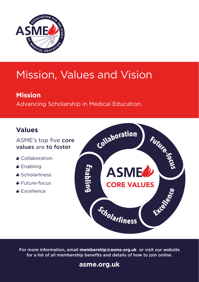

# Mission, Values and Vision

### **Mission**

Advancing Scholarship in Medical Education.

#### **Values**

#### ASME's top five core values are to foster

- **A** Collaboration
- *►* Enabling
- Scholarliness
- Future-focus
- **Excellence**



For more information, email **membership@asme.org.uk** or visit our website for a list of all membership benefits and details of how to join online.

#### **asme.org.uk**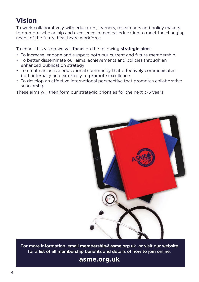#### **Vision**

To work collaboratively with educators, learners, researchers and policy makers to promote scholarship and excellence in medical education to meet the changing needs of the future healthcare workforce.

To enact this vision we will focus on the following strategic aims:

- To increase, engage and support both our current and future membership
- To better disseminate our aims, achievements and policies through an enhanced publication strategy
- To create an active educational community that effectively communicates both internally and externally to promote excellence
- To develop an effective international perspective that promotes collaborative scholarship

These aims will then form our strategic priorities for the next 3-5 years.



For more information, email **membership@asme.org.uk** or visit our website for a list of all membership benefits and details of how to join online.

**asme.org.uk**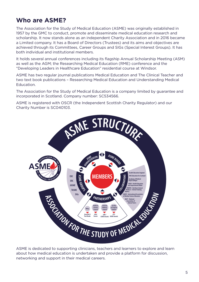#### **Who are ASME?**

The Association for the Study of Medical Education (ASME) was originally established in 1957 by the GMC to conduct, promote and disseminate medical education research and scholarship. It now stands alone as an independent Charity Association and in 2016 became a Limited company. It has a Board of Directors (Trustees) and its aims and objectives are achieved through its Committees, Career Groups and SIGs (Special Interest Groups). It has both individual and institutional members.

It holds several annual conferences including its flagship Annual Scholarship Meeting (ASM) as well as the AGM; the Researching Medical Education (RME) conference and the "Developing Leaders in Healthcare Education" residential course at Windsor.

ASME has two regular journal publications Medical Education and The Clinical Teacher and two text book publications – Researching Medical Education and Understanding Medical Education.

The Association for the Study of Medical Education is a company limited by guarantee and incorporated in Scotland. Company number: SC534566.

ASME is registered with OSCR (the Independent Scottish Charity Regulator) and our Charity Number is SC040103.



ASME is dedicated to supporting clinicians, teachers and learners to explore and learn about how medical education is undertaken and provide a platform for discussion, networking and support in their medical careers.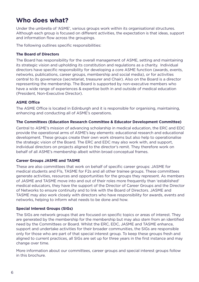#### **Who does what?**

Under the umbrella of 'ASME', various groups work within its organisational structures. Although each group is focused on different activities, the expectation is that ideas, support and information flow across the groupings.

The following outlines specific responsibilities:

#### **The Board of Directors**

The Board has responsibility for the overall management of ASME, setting and maintaining its strategic vision and upholding its constitution and regulations as a charity. Individual directors have specific responsibility for developing a core ASME function (awards, events, networks, publications, career groups, membership and social media), or for activities central to its governance (secretariat, treasurer and Chair). Also on the Board is a director representing the membership. The Board is supported by non-executive members who have a wide range of experiences & expertise both in and outside of medical education (President, Non-Executive Director).

#### **ASME Office**

The ASME Office is located in Edinburgh and it is responsible for organising, maintaining, enhancing and conducting all of ASME's operations.

#### **The Committees (Education Research Committee & Educator Development Committee)**

Central to ASME's mission of advancing scholarship in medical education, the ERC and EDC provide the operational arms of ASME's key elements: educational research and educational development. These groups create their own work streams but also help to operationalise the strategic vision of the Board. The ERC and EDC may also work with, and support, individual directors on projects aligned to the director's remit. They therefore work on behalf of all ASME's membership albeit within broad conceptual frames.

#### **Career Groups JASME and TASME**

These are also committees that work on behalf of specific career groups: JASME for medical students and F1s, TASME for F2s and all other trainee groups. These committees generate activities, resources and opportunities for the groups they represent. As members of JASME and TASME move into and out of their roles more frequently than 'established' medical educators, they have the support of the Director of Career Groups and the Director of Networks to ensure continuity and to link with the Board of Directors. JASME and TASME may also work closely with directors who have responsibility for awards, events and networks, helping to inform what needs to be done and how.

#### **Special Interest Groups (SIGs)**

The SIGs are network groups that are focused on specific topics or areas of interest. They are generated by the membership for the membership but may also stem from an identified need by the Committees or Board. Whilst the ERC, EDC, JASME and TASME enhance, support and undertake activities for their broader communities, the SIGs are responsible only for those who are part of that special interest group. To keep these groups fresh and aligned to current practices, all SIGs are set up for three years in the first instance and may change over time.

More information about our committees, career groups and special interest groups follow in this brochure.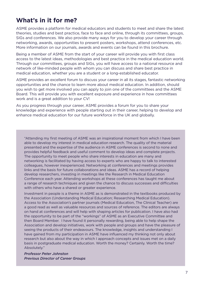#### **What's in it for me?**

ASME provides a platform for medical educators and students to meet and share the latest theories, studies and best practice, face to face and online, through its committees, groups, SIGs and conferences. We also provide many ways for you to develop your career through networking, awards, opportunities to present posters, workshops, attend conferences, etc. More information on our journals, awards and events can be found in this brochure.

Being a member of ASME from the start of your career will provide you with first class access to the latest ideas, methodologies and best practice in the medical education world. Through our committees, groups and SIGs, you will have access to a national resource and network of like-minded people with whom you can discuss and share best practice in medical education, whether you are a student or a long-established educator.

ASME provides an excellent forum to discuss your career in all its stages, fantastic networking opportunities and the chance to learn more about medical education. In addition, should you wish to get more involved you can apply to join one of the committees and the ASME Board. This will provide you with excellent exposure and experience in how committees work and is a great addition to your CV!

As you progress through your career, ASME provides a forum for you to share your knowledge and experience with people starting out in their career, helping to develop and enhance medical education for our future workforce in the UK and globally.

"Attending my first meeting of ASME was an inspirational moment from which I have been able to develop my interest in medical education research. The quality of the material presented and the expertise of the audience in ASME conferences is second to none and provides helpful feedback and useful comment to develop ideas and complete projects. The opportunity to meet people who share interests in education are many and networking is facilitated by having access to experts who are happy to talk to interested colleagues, however inexperienced. Networking at conferences and meetings provides links and the basis for future collaborations and ideas. ASME has a record of helping develop researchers, investing in meetings like the Research in Medical Education Conference each year. Attending workshops at these conferences has taught me about a range of research techniques and given the chance to discuss successes and difficulties with others who have a shared or greater experience.

Investment in people is a theme in ASME as is demonstrated in the textbooks produced by the Association (Understanding Medical Education; Researching Medical Education). Access to the Association's partner journals (Medical Education, The Clinical Teacher) are a good read as well as valuable resources and sources of reference. The editors are always on hand at conferences and will help with shaping articles for publication. I have also had the opportunity to be part of the "workings" of ASME as an Executive Committee and then Board Member. I have found it personally rewarding, being able to help shape the Association and develop initiatives, work with people and groups and have the pleasure of seeing the products of their endeavours. The knowledge, insights and understanding I have gained from my participation in ASME have influenced my thinking not only about research but also about the way in which I approach concepts and issues met on a daily basis in postgraduate medical education. Worth the money? Certainly. Worth the time? Absolutely."

*Professor Peter Johnston Previous Director of Career Groups*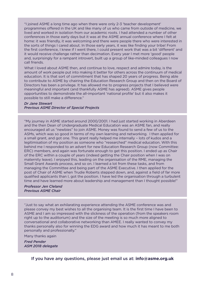"I joined ASME a long time ago when there were only 2-3 'teacher development' programmes offered in the UK and like many of us who came from outside of medicine, we lived and worked in isolation from our academic roots. I had attended a number of other conferences in those early days but it was at the ASME annual conference where I felt at home: it was friendly, it was welcoming and there were people there who were interested in the sorts of things I cared about. In those early years, it was like finding your tribe! From the first conference, I knew if I went there, I could present work that was a bit 'different' and it would receive challenge rather than decimation. Every year I met more 'good' people and, surprisingly for a rampant introvert, built up a group of like-minded colleagues I now call friends.

What I loved about ASME then, and continue to love, respect and admire today, is the amount of work people put into making it better for others across the continuum of medical education. It is that sort of commitment that has shaped 20 years of progress. Being able to contribute to ASME by chairing the Education Research Group and then on the Board of Directors has been a privilege. It has allowed me to progress projects that I believed were meaningful and important (and thankfully ASME has agreed). ASME gives people opportunities to demonstrate the all-important 'national profile' but it also makes it possible to still make a difference."

#### *Dr Jane Stewart Previous ASME Director of Special Projects*

"My journey in ASME started around 2000/2001. I had just started working in Aberdeen and the then Dean of Undergraduate Medical Education was an ASME fan, and really encouraged all us "newbies" to join ASME. Money was found to send a few of us to the ASMs, which was so good in terms of my own learning and networking. I then applied for a small grant, and got one. This grant really helped me internally – lots of kudos and a legitimisation of my position as someone who "researched" medical education. With this behind me I responded to an advert for new Education Research Group (now Committee: ERC) members, and again was fortunate enough to get this position. I ended up as Chair of the ERC within a couple of years (indeed getting the Chair position when I was on maternity leave). I enjoyed this, leading on the organisation of the RME, managing the Small Grant Awards process, and so on. I learned a lot from these tasks, and from managing the Committee and being part of the ASME Executive. I then applied for the post of Chair of ASME when Trudie Roberts stepped down, and, against a field of far more qualified applicants than I, got the position. I have led the organisation through a turbulent time and have learned more about leadership and management than I thought possible!"

*Professor Jen Cleland Previous ASME Chair*

"Just to say what an exhilarating experience attending the ASME conference was and please convey my best wishes to all the organising team. It is the first time I have been to ASME and I am so impressed with the slickness of the operation (from the speakers room right up to the auditorium) and the size of the meeting is so much more aligned to conversational and collaborative networking than AMEE. I really wanted to convey my thanks personally also for winning the EDG award and how much it has meant to me both personally and professionally."

Many thanks again

*Fred Pender ASM 2018 delegate*

If you have any questions, please just email us at: **info@asme.org.uk**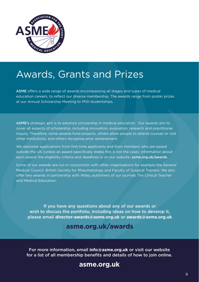

## Awards, Grants and Prizes

ASME offers a wide range of awards encompassing all stages and types of medical education careers, to reflect our diverse membership. The awards range from poster prizes at our Annual Scholarship Meeting to PhD studentships.

ASME's strategic aim is to advance scholarship in medical education. Our awards aim to cover all aspects of scholarship, including innovation, evaluation, research and practitioner inquiry. Therefore, some awards fund projects, others allow people to attend courses or visit other institutions, and others recognise prior achievement.

We welcome applications from first time applicants and from members who are based outside the UK (unless an award specifically states this is not the case). Information about each award, the eligibility criteria and deadlines is on our website: asme.org.uk/awards

Some of our awards are run in conjunction with other organisations for example the General Medical Council, British Society for Rheumatology and Faculty of Surgical Trainers. We also offer two awards in partnership with Wiley, publishers of our journals The Clinical Teacher and Medical Education.

If you have any questions about any of our awards or wish to discuss the portfolio, including ideas on how to develop it, please email **director-awards@asme.org.uk** or **awards@asme.org.uk** 

#### **asme.org.uk/awards**

For more information, email **info@asme.org.uk** or visit our website for a list of all membership benefits and details of how to join online.

#### **asme.org.uk**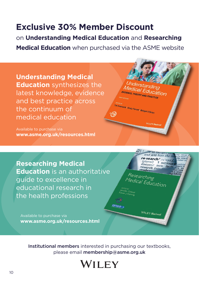## **Exclusive 30% Member Discount**

on **Understanding Medical Education** and **Researching Medical Education** when purchased via the ASME website

**Understanding Medical Education** synthesizes the latest knowledge, evidence and best practice across the continuum of medical education

Available to purchase via **www.asme.org.uk/resources.html**



**Researching Medical Education** is an authoritative guide to excellence in educational research in the health professions

Available to purchase via **www.asme.org.uk/resources.html**



Institutional members interested in purchasing our textbooks, please email membership@asme.org.uk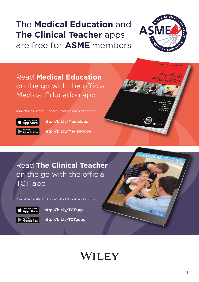## The **Medical Education** and **The Clinical Teacher** apps are free for **ASME** members



Read **Medical Education**  on the go with the official Medical Education app

Available for iPad®, iPhone®, iPod Touch® and android.



**http://bit.ly/Mededapp**

**http://bit.ly/Mededgoog**



Available for iPad®, iPhone®, iPod Touch® and android.



**http://bit.ly/TCTapp**

**http://bit.ly/TCTgoog**



# WILEY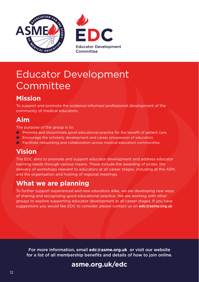



## Educator Development Committee

## **Mission**

To support and promote the evidence informed professional development of the community of medical educators.

#### **Aim**

The purpose of the group is to:

- **Promote and disseminate good educational practice for the benefit of patient care.**
- $\triangleleft$  Encourage the scholarly development and career progression of educators.
- $\triangle$  Facilitate networking and collaboration across medical education communities.

#### **Vision**

The EDC aims to promote and support educator development and address educator learning needs through various means. These include the awarding of prizes, the delivery of workshops relevant to educators at all career stages, including at the ASM, and the organisation and hosting of regional meetings.

#### **What we are planning**

To further support experienced and new educators alike, we are developing new ways of sharing and recognising good educational practice. We are working with other groups to explore supporting educator development at all career stages. If you have suggestions you would like EDC to consider, please contact us on edc@asme.org.uk

For more information, email **edc@asme.org.uk** or visit our website for a list of all membership benefits and details of how to join online.

## **asme.org.uk/edc**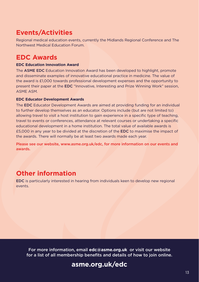#### **Events/Activities**

Regional medical education events, currently the Midlands Regional Conference and The Northwest Medical Education Forum.

#### **EDC Awards**

#### **EDC Education Innovation Award**

The ASME EDC Education Innovation Award has been developed to highlight, promote and disseminate examples of innovative educational practice in medicine. The value of the award is £1,000 towards professional development expenses and the opportunity to present their paper at the EDC "Innovative, Interesting and Prize Winning Work" session, ASME ASM.

#### **EDC Educator Development Awards**

The EDC Educator Development Awards are aimed at providing funding for an individual to further develop themselves as an educator. Options include (but are not limited to) allowing travel to visit a host institution to gain experience in a specific type of teaching, travel to events or conferences, attendance at relevant courses or undertaking a specific educational development in a home institution. The total value of available awards is £5,000 in any year to be divided at the discretion of the EDC to maximise the impact of the awards. There will normally be at least two awards made each year.

Please see our website, www.asme.org.uk/edc, for more information on our events and awards.

#### **Other information**

EDC is particularly interested in hearing from individuals keen to develop new regional events.

For more information, email **edc@asme.org.uk** or visit our website for a list of all membership benefits and details of how to join online.

#### **asme.org.uk/edc**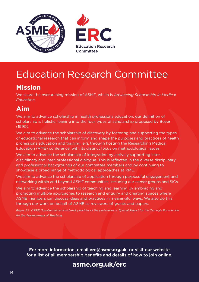



## Education Research Committee

#### **Mission**

We share the overarching mission of ASME, which is *Advancing Scholarship in Medical Education*.

#### **Aim**

We aim to advance scholarship in health professions education; our definition of scholarship is holistic, leaning into the four types of scholarship proposed by Boyer (1990).

We aim to advance the scholarship of discovery by fostering and supporting the types of educational research that can inform and shape the purposes and practices of health professions education and training. e.g. through hosting the Researching Medical Education (RME) conference, with its distinct focus on methodological issues.

We aim to advance the scholarship of integration by actively supporting interdisciplinary and inter-professional dialogue. This is reflected in the diverse disciplinary and professional backgrounds of our committee members and by continuing to showcase a broad range of methodological approaches at RME.

We aim to advance the scholarship of application through purposeful engagement and networking within and beyond ASME communities, including our career groups and SIGs.

We aim to advance the scholarship of teaching and learning by embracing and promoting multiple approaches to research and enquiry and creating spaces where ASME members can discuss ideas and practices in meaningful ways. We also do this through our work on behalf of ASME as reviewers of grants and papers.

*Boyer, E.L. (1990) Scholarship reconsidered: priorities of the professoriate. Special Report for the Carnegie Foundation for the Advancement of Teaching.*

For more information, email **erc@asme.org.uk** or visit our website for a list of all membership benefits and details of how to join online.

#### **asme.org.uk/erc**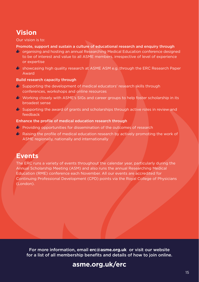#### **Vision**

#### Our vision is to:

#### Promote, support and sustain a culture of educational research and enquiry through

- organising and hosting an annual Researching Medical Education conference designed to be of interest and value to all ASME members, irrespective of level of experience or expertise
- $\bullet$  showcasing high quality research at ASME ASM e.g. through the ERC Research Paper Award

#### Build research capacity through

- Supporting the development of medical educators' research skills through conferences, workshops and online resources
- Working closely with ASME's SIGs and career groups to help foster scholarship in its broadest sense
- $\bullet$  Supporting the award of grants and scholarships through active roles in review and feedback

#### Enhance the profile of medical education research through

- **Providing opportunities for dissemination of the outcomes of research**
- $\bullet$  Raising the profile of medical education research by actively promoting the work of ASME regionally, nationally and internationally

#### **Events**

The ERC runs a variety of events throughout the calendar year, particularly during the Annual Scholarship Meeting (ASM) and also runs the annual Researching Medical Education (RME) conference each November. All our events are accredited for Continuing Professional Development (CPD) points via the Royal College of Physicians (London).

For more information, email **erc@asme.org.uk** or visit our website for a list of all membership benefits and details of how to join online.

#### **asme.org.uk/erc**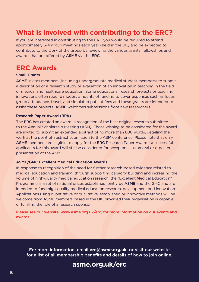#### **What is involved with contributing to the ERC?**

If you are interested in contributing to the ERC you would be required to attend approximately 3-4 group meetings each year (held in the UK) and be expected to contribute to the work of the group by reviewing the various grants, fellowships and awards that are offered by ASME via the ERC.

#### **ERC Awards**

#### **Small Grants**

ASME invites members (including undergraduate medical student members) to submit a description of a research study or evaluation of an innovation in teaching in the field of medical and healthcare education. Some educational research projects or teaching innovations often require modest amounts of funding to cover expenses such as focus group attendance, travel, and simulated patient fees and these grants are intended to assist these projects. ASME welcomes submissions from new researchers.

#### **Research Paper Award (RPA)**

The ERC has created an award in recognition of the best original research submitted to the Annual Scholarship Meeting (ASM). Those wishing to be considered for the award are invited to submit an extended abstract of no more than 800 words, detailing their work at the point of abstract submission to the ASM conference. Please note that only ASME members are eligible to apply for the ERC Research Paper Award. Unsuccessful applicants for this award will still be considered for acceptance as an oral or e-poster presentation at the ASM.

#### **ASME/GMC Excellent Medical Education Awards**

In response to recognition of the need for further research-based evidence related to medical education and training, through supporting capacity building and increasing the volume of high-quality medical education research, the "Excellent Medical Education" Programme is a set of national prizes established jointly by ASME and the GMC and are intended to fund high-quality medical education research, development and innovation. Applications using quantitative or qualitative, established or innovative methods will be welcome from ASME members based in the UK, provided their organisation is capable of fulfilling the role of a research sponsor.

Please see our website, www.asme.org.uk/erc, for more information on our events and awards.

For more information, email **erc@asme.org.uk** or visit our website for a list of all membership benefits and details of how to join online.

#### **asme.org.uk/erc**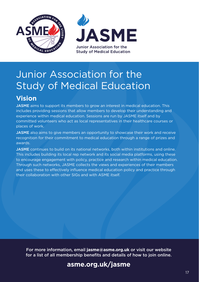

## Junior Association for the Study of Medical Education

## **Vision**

JASME aims to support its members to grow an interest in medical education. This includes providing sessions that allow members to develop their understanding and experience within medical education. Sessions are run by JASME itself and by committed volunteers who act as local representatives in their healthcare courses or places of work.

**JASME** also aims to give members an opportunity to showcase their work and receive recognition for their commitment to medical education through a range of prizes and awards.

JASME continues to build on its national networks, both within institutions and online. This includes building its local rep network and its social media platforms, using these to encourage engagement with policy, practice and research within medical education. Through such networks, JASME collects the views and experiences of their members and uses these to effectively influence medical education policy and practice through their collaboration with other SIGs and with ASME itself.

For more information, email **jasme@asme.org.uk** or visit our website for a list of all membership benefits and details of how to join online.

#### **asme.org.uk/jasme**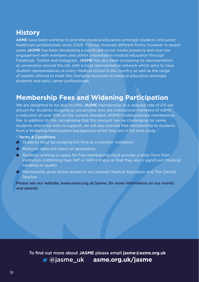#### **History**

ASME have been working to promote medical education amongst students and junior healthcare professionals since 2009. This has involved different forms, however in recent years JASME has been developing a significant social media presence and now has engagement with members and others interested in medical education through Facebook, Twitter and Instagram. JASME has also been increasing its representation at universities around the UK, with a local representative network which aims to have student representatives at every medical school in the country as well as the range of awards offered to meet the changing exposure to medical education amongst students and early career professionals.

#### **Membership Fees and Widening Participation**

We are delighted to be able to offer JASME membership at a reduced rate of £15 per annum for students studying at universities who are institutional members of ASME\*, a reduction of over 50% on the current standard JASME/Undergraduate membership fee. In addition to this, recognising that this amount can be challenging for some students whom we wish to support, we will also provide free membership to students from a Widening Participation background whilst they are in full time study. \*

- \* Terms & Conditions
- $\bullet$  Students must be studying full time at a member institution
- Reduced rates will cease on graduation
- $\bullet$  Students wishing to apply for free membership must provide a letter from their institution confirming their WP or WP++ status or that they are in significant financial hardship to qualify
- $\bullet$  Membership gives online access to our journals Medical Education and The Clinical **Teacher**

Please see our website, www.asme.org.uk/jasme, for more information on our events and awards.

To find out more about **JASME** please email **jasme@asme.org.uk** @jasme\_uk **asme.org.uk/jasme**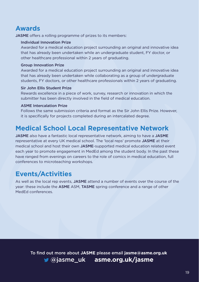#### **Awards**

JASME offers a rolling programme of prizes to its members:

#### Individual Innovation Prize

Awarded for a medical education project surrounding an original and innovative idea that has already been undertaken while an undergraduate student, FY doctor, or other healthcare professional within 2 years of graduating.

#### Group Innovation Prize

Awarded for a medical education project surrounding an original and innovative idea that has already been undertaken while collaborating as a group of undergraduate students, FY doctors, or other healthcare professionals within 2 years of graduating.

#### Sir John Ellis Student Prize

Rewards excellence in a piece of work, survey, research or innovation in which the submitter has been directly involved in the field of medical education.

#### ASME Intercalation Prize

Follows the same submission criteria and format as the Sir John Ellis Prize. However, it is specifically for projects completed during an intercalated degree.

#### **Medical School Local Representative Network**

JASME also have a fantastic local representative network, aiming to have a JASME representative at every UK medical school. The 'local reps' promote JASME at their medical school and host their own JASME-supported medical education related event each year to promote engagement in MedEd among the student body. In the past these have ranged from evenings on careers to the role of comics in medical education, full conferences to microteaching workshops.

## **Events/Activities**

As well as the local rep events, JASME attend a number of events over the course of the year: these include the ASME ASM, TASME spring conference and a range of other MedEd conferences.

To find out more about **JASME** please email **jasme@asme.org.uk** @jasme\_uk **asme.org.uk/jasme**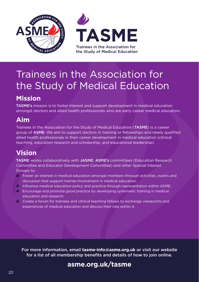

# Trainees in the Association for the Study of Medical Education

## **Mission**

TASME's mission is to foster interest and support development in medical education amongst doctors and allied health professionals who are early career medical educators.

#### **Aim**

Trainees in the Association for the Study of Medical Education (TASME) is a career group of ASME. We aim to support doctors in training or fellowships and newly qualified allied health professionals in their career development in medical education (clinical teaching, education research and scholarship, and educational leadership).

#### **Vision**

TASME works collaboratively with JASME, ASME's committees (Education Research Committee and Educator Development Committee) and other Special Interest Groups to:

- $\Diamond$  Foster an interest in medical education amongst members through activities, events and discussion that support trainee involvement in medical education.
- $\Diamond$  Influence medical education policy and practice through representation within ASME.
- $\Diamond$  Encourage and promote good practice by developing systematic training in medical education and research.
- Create a forum for trainees and clinical teaching fellows to exchange viewpoints and experiences of medical education and discuss their role within it.

For more information, email **tasme-info@asme.org.uk** or visit our website for a list of all membership benefits and details of how to join online.

## **asme.org.uk/tasme**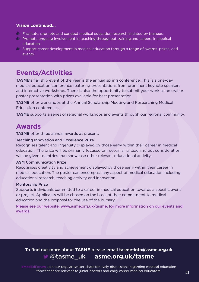#### **Vision continued...**

- $\Diamond$  Facilitate, promote and conduct medical education research initiated by trainees.
- $\Diamond$  Promote ongoing involvement in teaching throughout training and careers in medical education.
- $\Diamond$  Support career development in medical education through a range of awards, prizes, and events.

#### **Events/Activities**

TASME's flagship event of the year is the annual spring conference. This is a one-day medical education conference featuring presentations from prominent keynote speakers and interactive workshops. There is also the opportunity to submit your work as an oral or poster presentation with prizes available for best presentation.

TASME offer workshops at the Annual Scholarship Meeting and Researching Medical Education conferences.

TASME supports a series of regional workshops and events through our regional community.

#### **Awards**

TASME offer three annual awards at present:

#### Teaching Innovation and Excellence Prize

Recognises talent and ingenuity displayed by those early within their career in medical education. The prize will be primarily focused on recognising teaching but consideration will be given to entries that showcase other relevant educational activity.

#### ASM Communication Prize

Recognises creativity and achievement displayed by those early within their career in medical education. The poster can encompass any aspect of medical education including educational research, teaching activity and innovation.

#### Mentorship Prize

Supports individuals committed to a career in medical education towards a specific event or project. Applicants will be chosen on the basis of their commitment to medical education and the proposal for the use of the bursary.

Please see our website, www.asme.org.uk/tasme, for more information on our events and awards.

#### To find out more about **TASME** please email **tasme-info@asme.org.uk** @tasme\_uk **asme.org.uk/tasme**

#MedEdForum Join our regular twitter chats for lively discussions regarding medical education topics that are relevant to junior doctors and early career medical educators. 21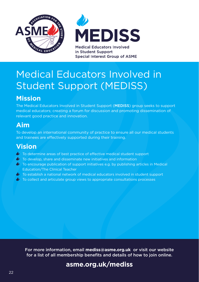



in Student Support **Special Interest Group of ASME** 

## Medical Educators Involved in Student Support (MEDISS)

## **Mission**

The Medical Educators Involved in Student Support (MEDISS) group seeks to support medical educators; creating a forum for discussion and promoting dissemination of relevant good practice and innovation.

### **Aim**

To develop an international community of practice to ensure all our medical students and trainees are effectively supported during their training.

#### **Vision**

- To determine areas of best practice of effective medical student support
- *D* To develop, share and disseminate new initiatives and information
- $\bullet$  To encourage publication of support initiatives e.g. by publishing articles in Medical Education/The Clinical Teacher
- $\bullet$  To establish a national network of medical educators involved in student support
- **To collect and articulate group views to appropriate consultations processes**

For more information, email **mediss@asme.org.uk** or visit our website for a list of all membership benefits and details of how to join online.

#### **asme.org.uk/mediss**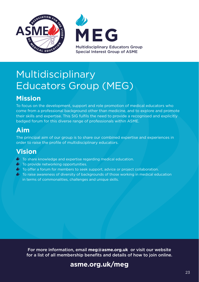



## Multidisciplinary Educators Group (MEG)

## **Mission**

To focus on the development, support and role promotion of medical educators who come from a professional background other than medicine, and to explore and promote their skills and expertise. This SIG fulfils the need to provide a recognised and explicitly badged forum for this diverse range of professionals within ASME.

### **Aim**

The principal aim of our group is to share our combined expertise and experiences in order to raise the profile of multidisciplinary educators.

#### **Vision**

- **To share knowledge and expertise regarding medical education.**
- *D* To provide networking opportunities.
- $\bullet$  To offer a forum for members to seek support, advice or project collaboration.
- $\bullet$  To raise awareness of diversity of backgrounds of those working in medical education in terms of commonalities, challenges and unique skills.

For more information, email **meg@asme.org.uk** or visit our website for a list of all membership benefits and details of how to join online.

#### **asme.org.uk/meg**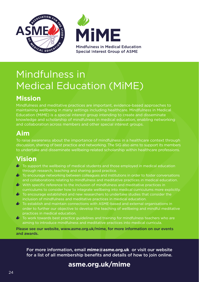



## Mindfulness in Medical Education (MiME)

## **Mission**

Mindfulness and meditative practices are important, evidence-based approaches to maintaining wellbeing in many settings including healthcare. Mindfulness in Medical Education (MiME) is a special interest group intending to create and disseminate knowledge and scholarship of mindfulness in medical education, enabling networking and collaboration across members and other special interest groups.

#### **Aim**

To raise awareness about the importance of mindfulness in a healthcare context through discussion, sharing of best practice and networking. The SIG also aims to support its members to undertake and disseminate wellbeing-related scholarship within healthcare professions.

## **Vision**

- $\bullet$  To support the wellbeing of medical students and those employed in medical education through research, teaching and sharing good practice.
- $\bullet$  To encourage networking between colleagues and institutions in order to foster conversations and collaborations relating to mindfulness and meditative practices in medical education.
- With specific reference to the inclusion of mindfulness and meditative practices in curriculums to consider how to integrate wellbeing into medical curriculums more explicitly.
- $\bullet$  To encourage established and new researchers to undertake studies that consider the inclusion of mindfulness and meditative practices in medical education.
- To establish and maintain connections with ASME-based and external organisations in order to further our objective to develop the teaching of wellbeing and mindful meditative practices in medical education.
- $\bullet$  To work towards best practice guidelines and training for mindfulness teachers who are aiming to introduce mindfulness and meditative practices into medical curricula.

Please see our website, www.asme.org.uk/mime, for more information on our events and awards.

For more information, email **mime@asme.org.uk** or visit our website for a list of all membership benefits and details of how to join online.

## **asme.org.uk/mime**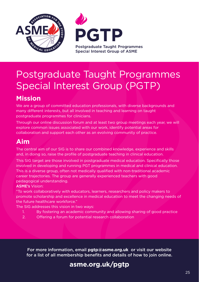



## Postgraduate Taught Programmes Special Interest Group (PGTP)

## **Mission**

We are a group of committed education professionals, with diverse backgrounds and many different interests, but all involved in teaching and learning on taught postgraduate programmes for clinicians.

Through our online discussion forum and at least two group meetings each year, we will explore common issues associated with our work, identify potential areas for collaboration and support each other as an evolving community of practice.

#### **Aim**

The central aim of our SIG is to share our combined knowledge, experience and skills and, in doing so, raise the profile of postgraduate teaching in clinical education.

This SIG target are those involved in postgraduate medical education. Specifically those involved in developing and running PGT programmes in medical and clinical education. This is a diverse group, often not medically qualified with non-traditional academic career trajectories. The group are generally experienced teachers with good pedagogical understanding.

ASME's Vision:

"To work collaboratively with educators, learners, researchers and policy makers to promote scholarship and excellence in medical education to meet the changing needs of the future healthcare workforce."

The SIG addresses this vision in two ways:

- 1. By fostering an academic community and allowing sharing of good practice
- 2. Offering a forum for potential research collaboration

For more information, email **pgtp@asme.org.uk** or visit our website for a list of all membership benefits and details of how to join online.

## **asme.org.uk/pgtp**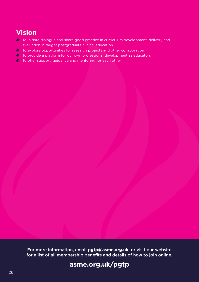## **Vision**

- $\bullet$  To initiate dialogue and share good practice in curriculum development, delivery and evaluation in taught postgraduate clinical education
- *U* To explore opportunities for research projects and other collaboration
- $\blacklozenge$  To provide a platform for our own professional development as educators
- $\blacklozenge$  To offer support, guidance and mentoring for each other

For more information, email **pgtp@asme.org.uk** or visit our website for a list of all membership benefits and details of how to join online.

## **asme.org.uk/pgtp**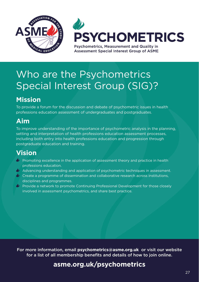



## Who are the Psychometrics Special Interest Group (SIG)?

## **Mission**

To provide a forum for the discussion and debate of psychometric issues in health professions education assessment of undergraduates and postgraduates.

## **Aim**

To improve understanding of the importance of psychometric analysis in the planning, setting and interpretation of health professions education assessment processes, including both entry into health professions education and progression through postgraduate education and training.

## **Vision**

- $\bullet$  Promoting excellence in the application of assessment theory and practice in health professions education.
- $\bullet\!\!\!\!/\bullet\!\!\!\!/\bullet$  Advancing understanding and application of psychometric techniques in assessment.
- $\bullet$  Create a programme of dissemination and collaborative research across institutions, disciplines and programmes.
- $\bullet$  Provide a network to promote Continuing Professional Development for those closely involved in assessment psychometrics, and share best practice.

For more information, email **psychometrics@asme.org.uk** or visit our website for a list of all membership benefits and details of how to join online.

#### **asme.org.uk/psychometrics**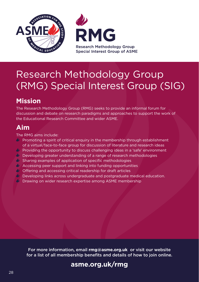



## Research Methodology Group (RMG) Special Interest Group (SIG)

## **Mission**

The Research Methodology Group (RMG) seeks to provide an informal forum for discussion and debate on research paradigms and approaches to support the work of the Educational Research Committee and wider ASME.

### **Aim**

The RMG aims include:

- Promoting a spirit of critical enquiry in the membership through establishment of a virtual/face-to-face group for discussion of literature and research ideas
- Providing the opportunity to discuss challenging ideas in a 'safe' environment
- $\bullet$  Developing greater understanding of a range of research methodologies
- $\bullet$  Sharing examples of application of specific methodologies
- Accessing peer support and linking into funding opportunities
- Offering and accessing critical readership for draft articles
- $\psi$  Developing links across undergraduate and postgraduate medical education.
- **Drawing on wider research expertise among ASME membership**

For more information, email **rmg@asme.org.uk** or visit our website for a list of all membership benefits and details of how to join online.

#### **asme.org.uk/rmg**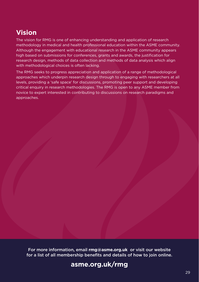#### **Vision**

The vision for RMG is one of enhancing understanding and application of research methodology in medical and health professional education within the ASME community. Although the engagement with educational research in the ASME community appears high based on submissions for conferences, grants and awards, the justification for research design, methods of data collection and methods of data analysis which align with methodological choices is often lacking.

The RMG seeks to progress appreciation and application of a range of methodological approaches which underpin research design through to engaging with researchers at all levels, providing a 'safe space' for discussions, promoting peer support and developing critical enquiry in research methodologies. The RMG is open to any ASME member from novice to expert interested in contributing to discussions on research paradigms and approaches.

For more information, email **rmg@asme.org.uk** or visit our website for a list of all membership benefits and details of how to join online.

#### **asme.org.uk/rmg**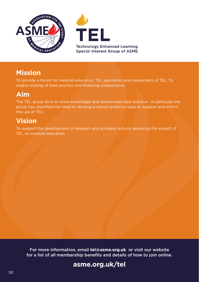



#### **Mission**

To provide a forum for medical educators, TEL specialists and researchers of TEL. To enable sharing of best practice and fostering collaboration.

#### **Aim**

The TEL group aims to share knowledge and disseminate best practice. In particular the group has identified the need to develop a robust evidence base to support and inform the use of TEL.

### **Vision**

To support the development of research and scholarly activity exploring the impact of TEL on medical education.

For more information, email **tel@asme.org.uk** or visit our website for a list of all membership benefits and details of how to join online.

## **asme.org.uk/tel**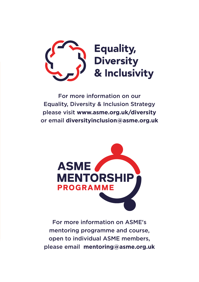

For more information on our Equality, Diversity & Inclusion Strategy please visit **www.asme.org.uk/diversity**  or email **diversityinclusion@asme.org.uk** 



For more information on ASME's mentoring programme and course, open to individual ASME members, please email **mentoring@asme.org.uk**